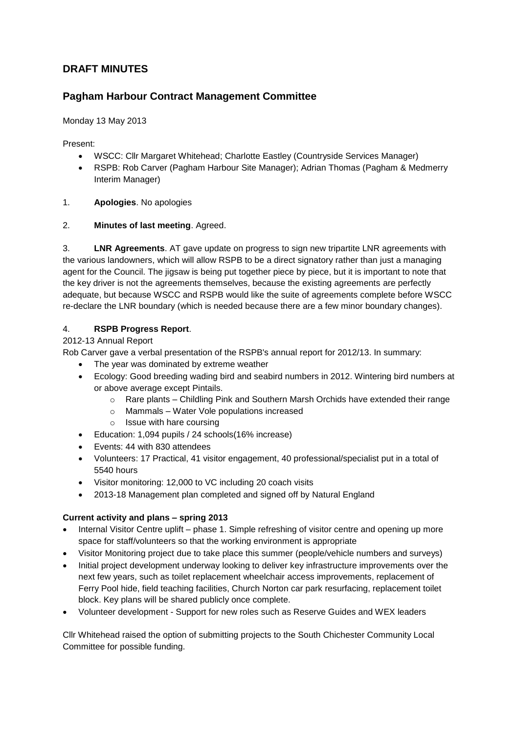# **DRAFT MINUTES**

# **Pagham Harbour Contract Management Committee**

Monday 13 May 2013

Present:

- WSCC: Cllr Margaret Whitehead; Charlotte Eastley (Countryside Services Manager)
- RSPB: Rob Carver (Pagham Harbour Site Manager); Adrian Thomas (Pagham & Medmerry Interim Manager)
- 1. **Apologies**. No apologies

#### 2. **Minutes of last meeting**. Agreed.

3. **LNR Agreements**. AT gave update on progress to sign new tripartite LNR agreements with the various landowners, which will allow RSPB to be a direct signatory rather than just a managing agent for the Council. The jigsaw is being put together piece by piece, but it is important to note that the key driver is not the agreements themselves, because the existing agreements are perfectly adequate, but because WSCC and RSPB would like the suite of agreements complete before WSCC re-declare the LNR boundary (which is needed because there are a few minor boundary changes).

### 4. **RSPB Progress Report**.

#### 2012-13 Annual Report

Rob Carver gave a verbal presentation of the RSPB's annual report for 2012/13. In summary:

- The year was dominated by extreme weather
- Ecology: Good breeding wading bird and seabird numbers in 2012. Wintering bird numbers at or above average except Pintails.
	- o Rare plants Childling Pink and Southern Marsh Orchids have extended their range
	- o Mammals Water Vole populations increased
	- o Issue with hare coursing
- Education: 1,094 pupils / 24 schools(16% increase)
- Events: 44 with 830 attendees
- Volunteers: 17 Practical, 41 visitor engagement, 40 professional/specialist put in a total of 5540 hours
- Visitor monitoring: 12,000 to VC including 20 coach visits
- 2013-18 Management plan completed and signed off by Natural England

### **Current activity and plans – spring 2013**

- Internal Visitor Centre uplift phase 1. Simple refreshing of visitor centre and opening up more space for staff/volunteers so that the working environment is appropriate
- Visitor Monitoring project due to take place this summer (people/vehicle numbers and surveys)
- Initial project development underway looking to deliver key infrastructure improvements over the next few years, such as toilet replacement wheelchair access improvements, replacement of Ferry Pool hide, field teaching facilities, Church Norton car park resurfacing, replacement toilet block. Key plans will be shared publicly once complete.
- Volunteer development Support for new roles such as Reserve Guides and WEX leaders

Cllr Whitehead raised the option of submitting projects to the South Chichester Community Local Committee for possible funding.